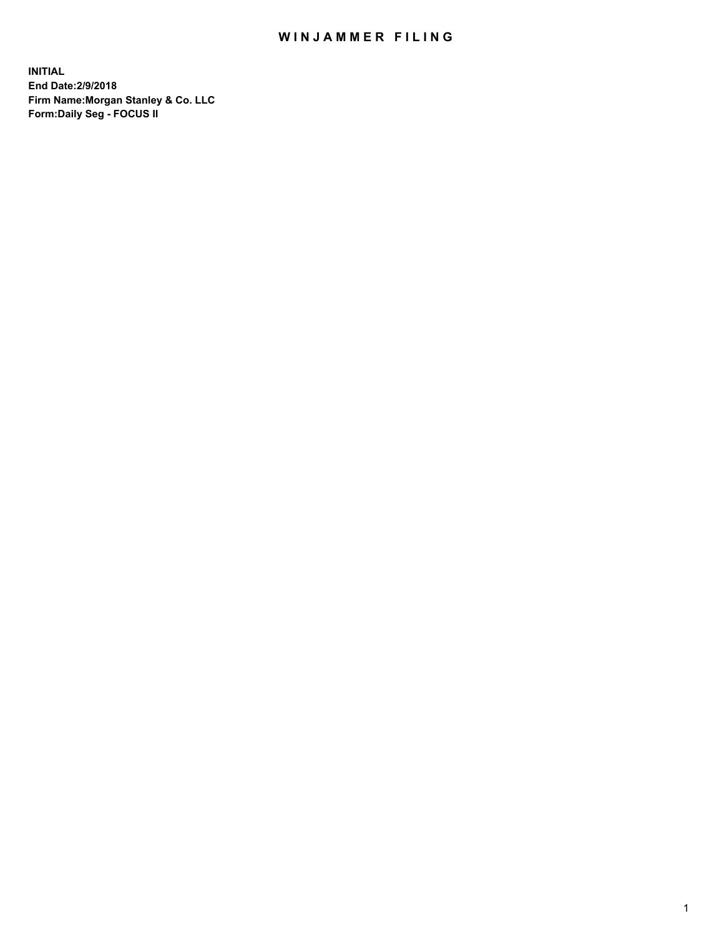## WIN JAMMER FILING

**INITIAL End Date:2/9/2018 Firm Name:Morgan Stanley & Co. LLC Form:Daily Seg - FOCUS II**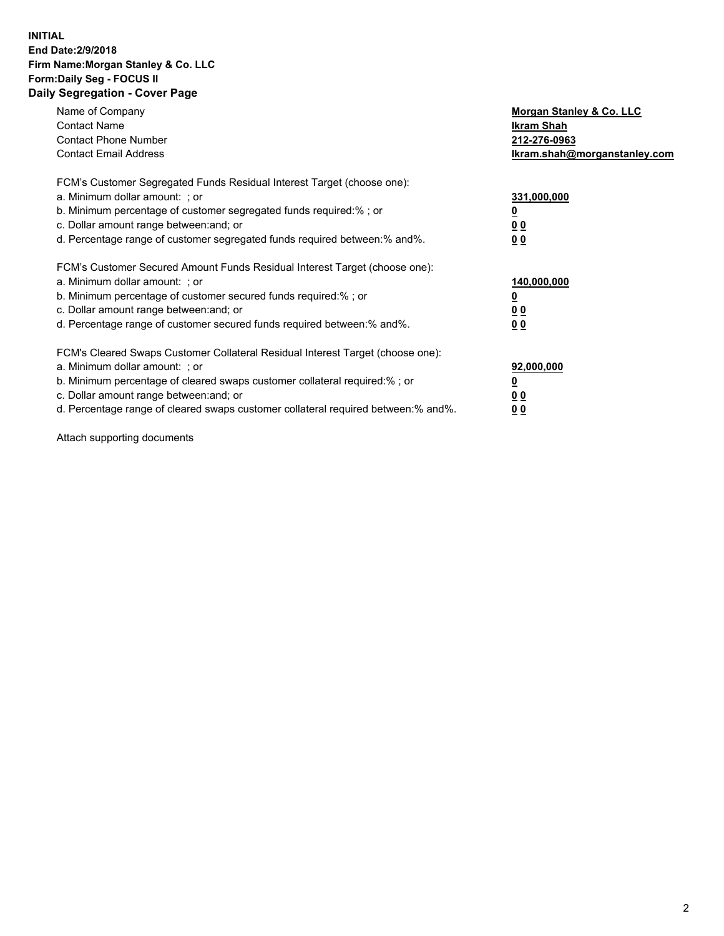### **INITIAL End Date:2/9/2018 Firm Name:Morgan Stanley & Co. LLC Form:Daily Seg - FOCUS II Daily Segregation - Cover Page**

| Name of Company                                                                   | Morgan Stanley & Co. LLC     |
|-----------------------------------------------------------------------------------|------------------------------|
| <b>Contact Name</b>                                                               | Ikram Shah                   |
| <b>Contact Phone Number</b>                                                       | 212-276-0963                 |
| <b>Contact Email Address</b>                                                      | Ikram.shah@morganstanley.com |
| FCM's Customer Segregated Funds Residual Interest Target (choose one):            |                              |
| a. Minimum dollar amount: : or                                                    | 331,000,000                  |
| b. Minimum percentage of customer segregated funds required:%; or                 |                              |
| c. Dollar amount range between: and; or                                           | <u>00</u>                    |
| d. Percentage range of customer segregated funds required between: % and %.       | 00                           |
| FCM's Customer Secured Amount Funds Residual Interest Target (choose one):        |                              |
| a. Minimum dollar amount: ; or                                                    | 140,000,000                  |
| b. Minimum percentage of customer secured funds required:%; or                    |                              |
| c. Dollar amount range between: and; or                                           | 00                           |
| d. Percentage range of customer secured funds required between: % and %.          | <u>00</u>                    |
| FCM's Cleared Swaps Customer Collateral Residual Interest Target (choose one):    |                              |
| a. Minimum dollar amount: ; or                                                    | 92,000,000                   |
| b. Minimum percentage of cleared swaps customer collateral required:% ; or        | <u>0</u>                     |
| c. Dollar amount range between: and; or                                           | <u>00</u>                    |
| d. Percentage range of cleared swaps customer collateral required between:% and%. | 00                           |

Attach supporting documents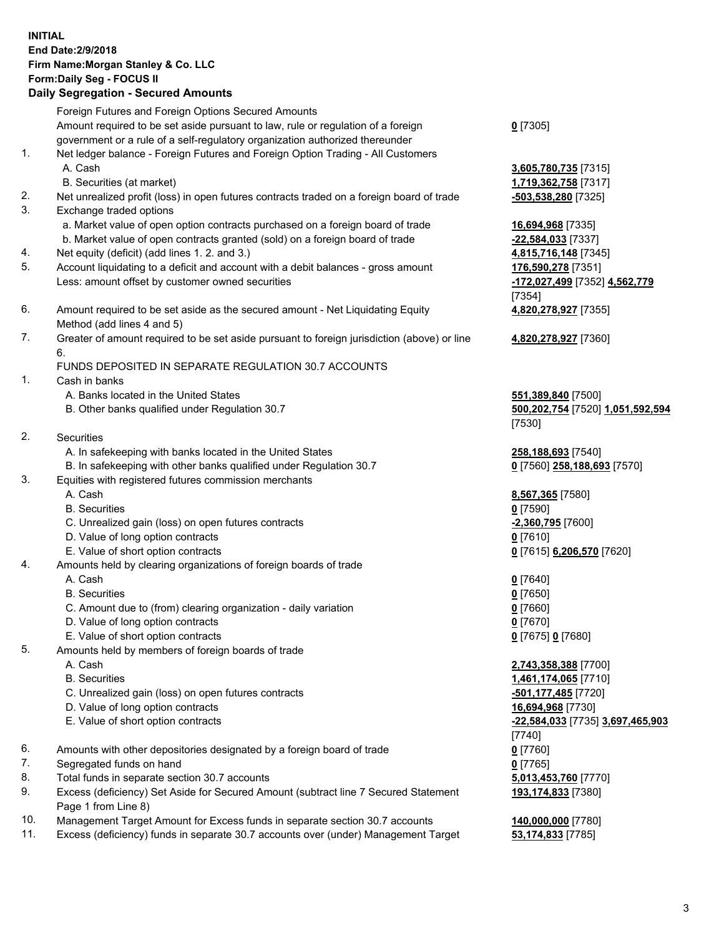# **INITIAL End Date:2/9/2018 Firm Name:Morgan Stanley & Co. LLC Form:Daily Seg - FOCUS II**

## **Daily Segregation - Secured Amounts**

|                | $-$ 0.000 $-$ 0.000 $-$ 0.000 $-$ 0.000 $-$ 0.000 $-$ 0.000 $-$ 0.000 $-$ 0.000 $-$ 0.000 $-$ 0.000 $-$ 0.000 $-$ 0.000 $-$ 0.000 $-$ 0.000 $-$ 0.000 $-$ 0.000 $-$ 0.000 $-$ 0.000 $-$ 0.000 $-$ 0.000 $-$ 0.000 $-$ 0.000 |                                  |
|----------------|-----------------------------------------------------------------------------------------------------------------------------------------------------------------------------------------------------------------------------|----------------------------------|
|                | Foreign Futures and Foreign Options Secured Amounts                                                                                                                                                                         |                                  |
|                | Amount required to be set aside pursuant to law, rule or regulation of a foreign                                                                                                                                            | $0$ [7305]                       |
|                | government or a rule of a self-regulatory organization authorized thereunder                                                                                                                                                |                                  |
| 1.             | Net ledger balance - Foreign Futures and Foreign Option Trading - All Customers                                                                                                                                             |                                  |
|                | A. Cash                                                                                                                                                                                                                     | 3,605,780,735 [7315]             |
|                | B. Securities (at market)                                                                                                                                                                                                   | 1,719,362,758 [7317]             |
| 2.             | Net unrealized profit (loss) in open futures contracts traded on a foreign board of trade                                                                                                                                   | <u>-503,538,280</u> [7325]       |
| 3.             | Exchange traded options                                                                                                                                                                                                     |                                  |
|                | a. Market value of open option contracts purchased on a foreign board of trade                                                                                                                                              | 16,694,968 [7335]                |
|                | b. Market value of open contracts granted (sold) on a foreign board of trade                                                                                                                                                | -22,584,033 [7337]               |
| 4.             | Net equity (deficit) (add lines 1.2. and 3.)                                                                                                                                                                                | 4,815,716,148 [7345]             |
| 5.             | Account liquidating to a deficit and account with a debit balances - gross amount                                                                                                                                           | 176,590,278 [7351]               |
|                | Less: amount offset by customer owned securities                                                                                                                                                                            | -172,027,499 [7352] 4,562,779    |
|                |                                                                                                                                                                                                                             | [7354]                           |
| 6.             | Amount required to be set aside as the secured amount - Net Liquidating Equity                                                                                                                                              | 4,820,278,927 [7355]             |
| 7.             | Method (add lines 4 and 5)<br>Greater of amount required to be set aside pursuant to foreign jurisdiction (above) or line                                                                                                   |                                  |
|                | 6.                                                                                                                                                                                                                          | 4,820,278,927 [7360]             |
|                | FUNDS DEPOSITED IN SEPARATE REGULATION 30.7 ACCOUNTS                                                                                                                                                                        |                                  |
| $\mathbf{1}$ . | Cash in banks                                                                                                                                                                                                               |                                  |
|                | A. Banks located in the United States                                                                                                                                                                                       | 551,389,840 [7500]               |
|                | B. Other banks qualified under Regulation 30.7                                                                                                                                                                              | 500,202,754 [7520] 1,051,592,594 |
|                |                                                                                                                                                                                                                             | [7530]                           |
| 2.             | Securities                                                                                                                                                                                                                  |                                  |
|                | A. In safekeeping with banks located in the United States                                                                                                                                                                   | 258,188,693 [7540]               |
|                | B. In safekeeping with other banks qualified under Regulation 30.7                                                                                                                                                          | 0 [7560] 258,188,693 [7570]      |
| 3.             | Equities with registered futures commission merchants                                                                                                                                                                       |                                  |
|                | A. Cash                                                                                                                                                                                                                     | 8,567,365 [7580]                 |
|                | <b>B.</b> Securities                                                                                                                                                                                                        | $0$ [7590]                       |
|                | C. Unrealized gain (loss) on open futures contracts                                                                                                                                                                         | -2,360,795 [7600]                |
|                | D. Value of long option contracts                                                                                                                                                                                           | $0$ [7610]                       |
|                | E. Value of short option contracts                                                                                                                                                                                          | 0 [7615] 6,206,570 [7620]        |
| 4.             | Amounts held by clearing organizations of foreign boards of trade                                                                                                                                                           |                                  |
|                | A. Cash                                                                                                                                                                                                                     | $0$ [7640]                       |
|                | <b>B.</b> Securities                                                                                                                                                                                                        | $0$ [7650]                       |
|                | C. Amount due to (from) clearing organization - daily variation                                                                                                                                                             | $0$ [7660]                       |
|                | D. Value of long option contracts                                                                                                                                                                                           | $0$ [7670]                       |
|                | E. Value of short option contracts                                                                                                                                                                                          | 0 [7675] 0 [7680]                |
| 5.             | Amounts held by members of foreign boards of trade                                                                                                                                                                          |                                  |
|                | A. Cash                                                                                                                                                                                                                     | 2,743,358,388 [7700]             |
|                | <b>B.</b> Securities                                                                                                                                                                                                        | 1,461,174,065 [7710]             |
|                | C. Unrealized gain (loss) on open futures contracts                                                                                                                                                                         | <u>-501,177,485</u> [7720]       |
|                | D. Value of long option contracts                                                                                                                                                                                           | 16,694,968 [7730]                |
|                | E. Value of short option contracts                                                                                                                                                                                          | -22,584,033 [7735] 3,697,465,903 |
|                |                                                                                                                                                                                                                             | [7740]                           |
| 6.             | Amounts with other depositories designated by a foreign board of trade                                                                                                                                                      | $0$ [7760]                       |
| 7.             | Segregated funds on hand                                                                                                                                                                                                    | $0$ [7765]                       |
| 8.             | Total funds in separate section 30.7 accounts                                                                                                                                                                               | 5,013,453,760 [7770]             |
| 9.             | Excess (deficiency) Set Aside for Secured Amount (subtract line 7 Secured Statement                                                                                                                                         | 193,174,833 [7380]               |
|                | Page 1 from Line 8)                                                                                                                                                                                                         |                                  |
| 10.            | Management Target Amount for Excess funds in separate section 30.7 accounts                                                                                                                                                 | 140,000,000 [7780]               |
| 11.            | Excess (deficiency) funds in separate 30.7 accounts over (under) Management Target                                                                                                                                          | 53,174,833 [7785]                |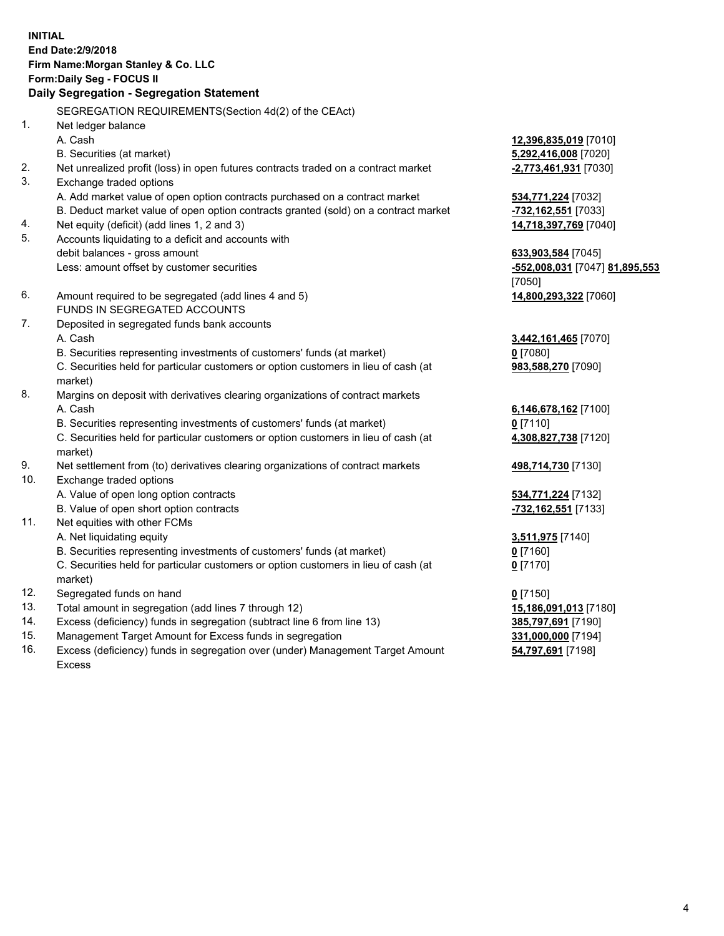# **INITIAL End Date:2/9/2018 Firm Name:Morgan Stanley & Co. LLC Form:Daily Seg - FOCUS II**

**Daily Segregation - Segregation Statement** SEGREGATION REQUIREMENTS(Section 4d(2) of the CEAct) 1. Net ledger balance A. Cash **12,396,835,019** [7010] B. Securities (at market) **5,292,416,008** [7020] 2. Net unrealized profit (loss) in open futures contracts traded on a contract market **-2,773,461,931** [7030] 3. Exchange traded options A. Add market value of open option contracts purchased on a contract market **534,771,224** [7032] B. Deduct market value of open option contracts granted (sold) on a contract market **-732,162,551** [7033] 4. Net equity (deficit) (add lines 1, 2 and 3) **14,718,397,769** [7040] 5. Accounts liquidating to a deficit and accounts with debit balances - gross amount **633,903,584** [7045] Less: amount offset by customer securities **-552,008,031** [7047] **81,895,553** 6. Amount required to be segregated (add lines 4 and 5) **14,800,293,322** [7060] FUNDS IN SEGREGATED ACCOUNTS 7. Deposited in segregated funds bank accounts A. Cash **3,442,161,465** [7070] B. Securities representing investments of customers' funds (at market) **0** [7080] C. Securities held for particular customers or option customers in lieu of cash (at market) 8. Margins on deposit with derivatives clearing organizations of contract markets A. Cash **6,146,678,162** [7100] B. Securities representing investments of customers' funds (at market) **0** [7110] C. Securities held for particular customers or option customers in lieu of cash (at market) 9. Net settlement from (to) derivatives clearing organizations of contract markets **498,714,730** [7130] 10. Exchange traded options A. Value of open long option contracts **534,771,224** [7132] B. Value of open short option contracts **-732,162,551** [7133] 11. Net equities with other FCMs A. Net liquidating equity **3,511,975** [7140] B. Securities representing investments of customers' funds (at market) **0** [7160] C. Securities held for particular customers or option customers in lieu of cash (at market) 12. Segregated funds on hand **0** [7150] 13. Total amount in segregation (add lines 7 through 12) **15,186,091,013** [7180] 14. Excess (deficiency) funds in segregation (subtract line 6 from line 13) **385,797,691** [7190]

- 15. Management Target Amount for Excess funds in segregation **331,000,000** [7194]
- 16. Excess (deficiency) funds in segregation over (under) Management Target Amount Excess

[7050]

**983,588,270** [7090]

**4,308,827,738** [7120]

**0** [7170]

**54,797,691** [7198]